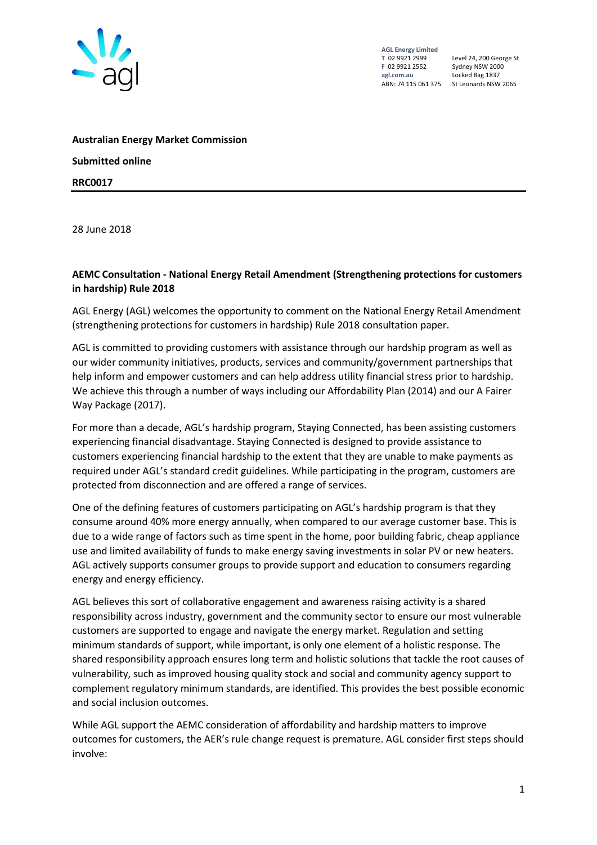

Level 24, 200 George St Locked Bag 1837 ABN: 74 115 061 375 St Leonards NSW 2065

**Australian Energy Market Commission Submitted online RRC0017**

28 June 2018

#### **AEMC Consultation - National Energy Retail Amendment (Strengthening protections for customers in hardship) Rule 2018**

AGL Energy (AGL) welcomes the opportunity to comment on the National Energy Retail Amendment (strengthening protections for customers in hardship) Rule 2018 consultation paper.

AGL is committed to providing customers with assistance through our hardship program as well as our wider community initiatives, products, services and community/government partnerships that help inform and empower customers and can help address utility financial stress prior to hardship. We achieve this through a number of ways including our Affordability Plan (2014) and our A Fairer Way Package (2017).

For more than a decade, AGL's hardship program, Staying Connected, has been assisting customers experiencing financial disadvantage. Staying Connected is designed to provide assistance to customers experiencing financial hardship to the extent that they are unable to make payments as required under AGL's standard credit guidelines. While participating in the program, customers are protected from disconnection and are offered a range of services.

One of the defining features of customers participating on AGL's hardship program is that they consume around 40% more energy annually, when compared to our average customer base. This is due to a wide range of factors such as time spent in the home, poor building fabric, cheap appliance use and limited availability of funds to make energy saving investments in solar PV or new heaters. AGL actively supports consumer groups to provide support and education to consumers regarding energy and energy efficiency.

AGL believes this sort of collaborative engagement and awareness raising activity is a shared responsibility across industry, government and the community sector to ensure our most vulnerable customers are supported to engage and navigate the energy market. Regulation and setting minimum standards of support, while important, is only one element of a holistic response. The shared responsibility approach ensures long term and holistic solutions that tackle the root causes of vulnerability, such as improved housing quality stock and social and community agency support to complement regulatory minimum standards, are identified. This provides the best possible economic and social inclusion outcomes.

While AGL support the AEMC consideration of affordability and hardship matters to improve outcomes for customers, the AER's rule change request is premature. AGL consider first steps should involve: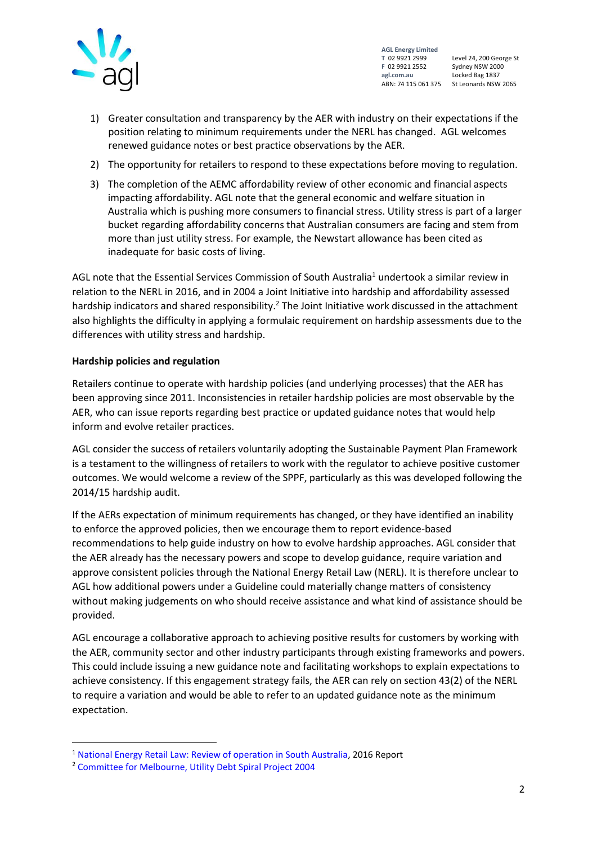

Level 24, 200 George St ABN: 74 115 061 375 St Leonards NSW 2065

- 1) Greater consultation and transparency by the AER with industry on their expectations if the position relating to minimum requirements under the NERL has changed. AGL welcomes renewed guidance notes or best practice observations by the AER.
- 2) The opportunity for retailers to respond to these expectations before moving to regulation.
- 3) The completion of the AEMC affordability review of other economic and financial aspects impacting affordability. AGL note that the general economic and welfare situation in Australia which is pushing more consumers to financial stress. Utility stress is part of a larger bucket regarding affordability concerns that Australian consumers are facing and stem from more than just utility stress. For example, the Newstart allowance has been cited as inadequate for basic costs of living.

AGL note that the Essential Services Commission of South Australia<sup>1</sup> undertook a similar review in relation to the NERL in 2016, and in 2004 a Joint Initiative into hardship and affordability assessed hardship indicators and shared responsibility.<sup>2</sup> The Joint Initiative work discussed in the attachment also highlights the difficulty in applying a formulaic requirement on hardship assessments due to the differences with utility stress and hardship.

#### **Hardship policies and regulation**

Retailers continue to operate with hardship policies (and underlying processes) that the AER has been approving since 2011. Inconsistencies in retailer hardship policies are most observable by the AER, who can issue reports regarding best practice or updated guidance notes that would help inform and evolve retailer practices.

AGL consider the success of retailers voluntarily adopting the Sustainable Payment Plan Framework is a testament to the willingness of retailers to work with the regulator to achieve positive customer outcomes. We would welcome a review of the SPPF, particularly as this was developed following the 2014/15 hardship audit.

If the AERs expectation of minimum requirements has changed, or they have identified an inability to enforce the approved policies, then we encourage them to report evidence-based recommendations to help guide industry on how to evolve hardship approaches. AGL consider that the AER already has the necessary powers and scope to develop guidance, require variation and approve consistent policies through the National Energy Retail Law (NERL). It is therefore unclear to AGL how additional powers under a Guideline could materially change matters of consistency without making judgements on who should receive assistance and what kind of assistance should be provided.

AGL encourage a collaborative approach to achieving positive results for customers by working with the AER, community sector and other industry participants through existing frameworks and powers. This could include issuing a new guidance note and facilitating workshops to explain expectations to achieve consistency. If this engagement strategy fails, the AER can rely on section 43(2) of the NERL to require a variation and would be able to refer to an updated guidance note as the minimum expectation.

1

<sup>1</sup> [National Energy Retail Law: Review of operation in South Australia,](https://www.escosa.sa.gov.au/ArticleDocuments/933/20160530-Energy-NERLReviewFinalReport.pdf.aspx?Embed=Y) 2016 Report

<sup>2</sup> [Committee for Melbourne, Utility Debt Spiral Project 2004](https://citiesprogramme.org/project/utility-debt-spiral-project/)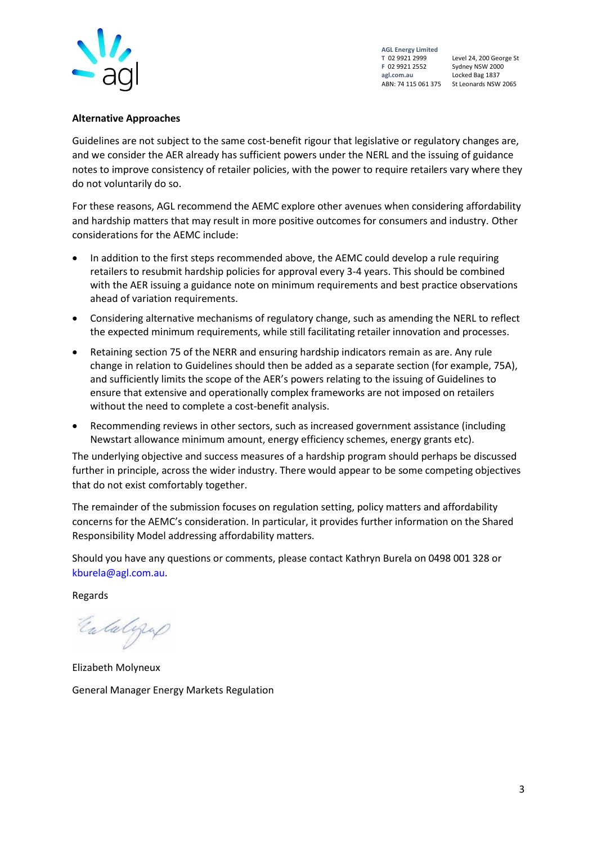

Level 24, 200 George St Locked Bag 1837 ABN: 74 115 061 375 St Leonards NSW 2065

#### **Alternative Approaches**

Guidelines are not subject to the same cost-benefit rigour that legislative or regulatory changes are, and we consider the AER already has sufficient powers under the NERL and the issuing of guidance notes to improve consistency of retailer policies, with the power to require retailers vary where they do not voluntarily do so.

For these reasons, AGL recommend the AEMC explore other avenues when considering affordability and hardship matters that may result in more positive outcomes for consumers and industry. Other considerations for the AEMC include:

- In addition to the first steps recommended above, the AEMC could develop a rule requiring retailers to resubmit hardship policies for approval every 3-4 years. This should be combined with the AER issuing a guidance note on minimum requirements and best practice observations ahead of variation requirements.
- Considering alternative mechanisms of regulatory change, such as amending the NERL to reflect the expected minimum requirements, while still facilitating retailer innovation and processes.
- Retaining section 75 of the NERR and ensuring hardship indicators remain as are. Any rule change in relation to Guidelines should then be added as a separate section (for example, 75A), and sufficiently limits the scope of the AER's powers relating to the issuing of Guidelines to ensure that extensive and operationally complex frameworks are not imposed on retailers without the need to complete a cost-benefit analysis.
- Recommending reviews in other sectors, such as increased government assistance (including Newstart allowance minimum amount, energy efficiency schemes, energy grants etc).

The underlying objective and success measures of a hardship program should perhaps be discussed further in principle, across the wider industry. There would appear to be some competing objectives that do not exist comfortably together.

The remainder of the submission focuses on regulation setting, policy matters and affordability concerns for the AEMC's consideration. In particular, it provides further information on the Shared Responsibility Model addressing affordability matters.

Should you have any questions or comments, please contact Kathryn Burela on 0498 001 328 or [kburela@agl.com.au.](mailto:kburela@agl.com.au)

Regards

Entalgraf

Elizabeth Molyneux General Manager Energy Markets Regulation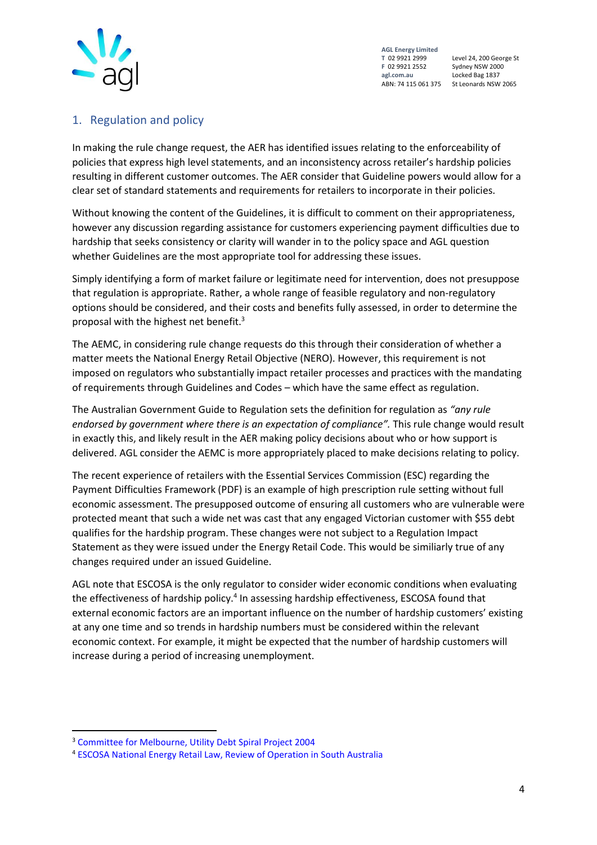

Level 24, 200 George St Locked Bag 1837 ABN: 74 115 061 375 St Leonards NSW 2065

# 1. Regulation and policy

In making the rule change request, the AER has identified issues relating to the enforceability of policies that express high level statements, and an inconsistency across retailer's hardship policies resulting in different customer outcomes. The AER consider that Guideline powers would allow for a clear set of standard statements and requirements for retailers to incorporate in their policies.

Without knowing the content of the Guidelines, it is difficult to comment on their appropriateness, however any discussion regarding assistance for customers experiencing payment difficulties due to hardship that seeks consistency or clarity will wander in to the policy space and AGL question whether Guidelines are the most appropriate tool for addressing these issues.

Simply identifying a form of market failure or legitimate need for intervention, does not presuppose that regulation is appropriate. Rather, a whole range of feasible regulatory and non-regulatory options should be considered, and their costs and benefits fully assessed, in order to determine the proposal with the highest net benefit.<sup>3</sup>

The AEMC, in considering rule change requests do this through their consideration of whether a matter meets the National Energy Retail Objective (NERO). However, this requirement is not imposed on regulators who substantially impact retailer processes and practices with the mandating of requirements through Guidelines and Codes – which have the same effect as regulation.

The Australian Government Guide to Regulation sets the definition for regulation as *"any rule endorsed by government where there is an expectation of compliance".* This rule change would result in exactly this, and likely result in the AER making policy decisions about who or how support is delivered. AGL consider the AEMC is more appropriately placed to make decisions relating to policy.

The recent experience of retailers with the Essential Services Commission (ESC) regarding the Payment Difficulties Framework (PDF) is an example of high prescription rule setting without full economic assessment. The presupposed outcome of ensuring all customers who are vulnerable were protected meant that such a wide net was cast that any engaged Victorian customer with \$55 debt qualifies for the hardship program. These changes were not subject to a Regulation Impact Statement as they were issued under the Energy Retail Code. This would be similiarly true of any changes required under an issued Guideline.

AGL note that ESCOSA is the only regulator to consider wider economic conditions when evaluating the effectiveness of hardship policy.<sup>4</sup> In assessing hardship effectiveness, ESCOSA found that external economic factors are an important influence on the number of hardship customers' existing at any one time and so trends in hardship numbers must be considered within the relevant economic context. For example, it might be expected that the number of hardship customers will increase during a period of increasing unemployment.

<sup>3</sup> [Committee for Melbourne, Utility Debt Spiral Project 2004](https://citiesprogramme.org/project/utility-debt-spiral-project/)

<sup>4</sup> [ESCOSA National Energy Retail Law, Review of Operation in South Australia](file://///GLBWI234/Data$/Data/Users/A141866/Desktop/2016%20%20https:/www.escosa.sa.gov.au/ArticleDocuments/933/20160530-Energy-NERLReviewFinalReport.pdf.aspx%3fEmbed=Y%20,)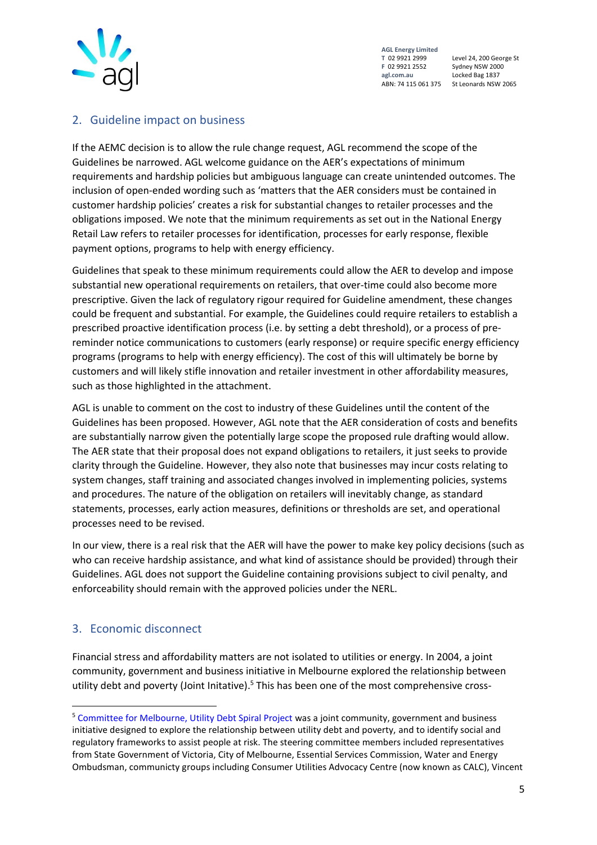

Level 24, 200 George St St Leonards NSW 2065

## 2. Guideline impact on business

If the AEMC decision is to allow the rule change request, AGL recommend the scope of the Guidelines be narrowed. AGL welcome guidance on the AER's expectations of minimum requirements and hardship policies but ambiguous language can create unintended outcomes. The inclusion of open-ended wording such as 'matters that the AER considers must be contained in customer hardship policies' creates a risk for substantial changes to retailer processes and the obligations imposed. We note that the minimum requirements as set out in the National Energy Retail Law refers to retailer processes for identification, processes for early response, flexible payment options, programs to help with energy efficiency.

Guidelines that speak to these minimum requirements could allow the AER to develop and impose substantial new operational requirements on retailers, that over-time could also become more prescriptive. Given the lack of regulatory rigour required for Guideline amendment, these changes could be frequent and substantial. For example, the Guidelines could require retailers to establish a prescribed proactive identification process (i.e. by setting a debt threshold), or a process of prereminder notice communications to customers (early response) or require specific energy efficiency programs (programs to help with energy efficiency). The cost of this will ultimately be borne by customers and will likely stifle innovation and retailer investment in other affordability measures, such as those highlighted in the attachment.

AGL is unable to comment on the cost to industry of these Guidelines until the content of the Guidelines has been proposed. However, AGL note that the AER consideration of costs and benefits are substantially narrow given the potentially large scope the proposed rule drafting would allow. The AER state that their proposal does not expand obligations to retailers, it just seeks to provide clarity through the Guideline. However, they also note that businesses may incur costs relating to system changes, staff training and associated changes involved in implementing policies, systems and procedures. The nature of the obligation on retailers will inevitably change, as standard statements, processes, early action measures, definitions or thresholds are set, and operational processes need to be revised.

In our view, there is a real risk that the AER will have the power to make key policy decisions (such as who can receive hardship assistance, and what kind of assistance should be provided) through their Guidelines. AGL does not support the Guideline containing provisions subject to civil penalty, and enforceability should remain with the approved policies under the NERL.

# 3. Economic disconnect

**.** 

Financial stress and affordability matters are not isolated to utilities or energy. In 2004, a joint community, government and business initiative in Melbourne explored the relationship between utility debt and poverty (Joint Initative).<sup>5</sup> This has been one of the most comprehensive cross-

<sup>5</sup> [Committee for Melbourne, Utility Debt Spiral Project](https://citiesprogramme.org/project/utility-debt-spiral-project/) was a joint community, government and business initiative designed to explore the relationship between utility debt and poverty, and to identify social and regulatory frameworks to assist people at risk. The steering committee members included representatives from State Government of Victoria, City of Melbourne, Essential Services Commission, Water and Energy Ombudsman, communicty groups including Consumer Utilities Advocacy Centre (now known as CALC), Vincent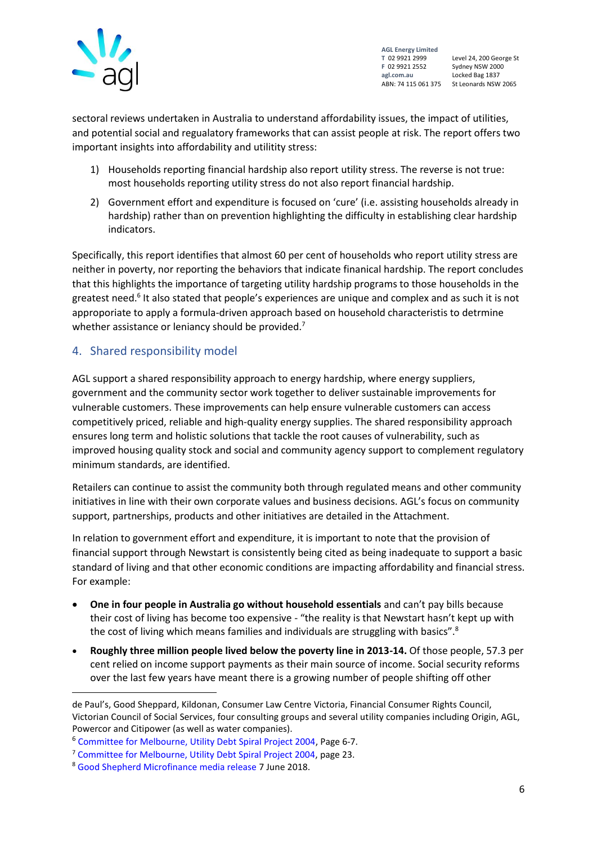

Level 24, 200 George St ABN: 74 115 061 375 St Leonards NSW 2065

sectoral reviews undertaken in Australia to understand affordability issues, the impact of utilities, and potential social and regualatory frameworks that can assist people at risk. The report offers two important insights into affordability and utilitity stress:

- 1) Households reporting financial hardship also report utility stress. The reverse is not true: most households reporting utility stress do not also report financial hardship.
- 2) Government effort and expenditure is focused on 'cure' (i.e. assisting households already in hardship) rather than on prevention highlighting the difficulty in establishing clear hardship indicators.

Specifically, this report identifies that almost 60 per cent of households who report utility stress are neither in poverty, nor reporting the behaviors that indicate finanical hardship. The report concludes that this highlights the importance of targeting utility hardship programs to those households in the greatest need.<sup>6</sup> It also stated that people's experiences are unique and complex and as such it is not approporiate to apply a formula-driven approach based on household characteristis to detrmine whether assistance or leniancy should be provided.<sup>7</sup>

## 4. Shared responsibility model

AGL support a shared responsibility approach to energy hardship, where energy suppliers, government and the community sector work together to deliver sustainable improvements for vulnerable customers. These improvements can help ensure vulnerable customers can access competitively priced, reliable and high-quality energy supplies. The shared responsibility approach ensures long term and holistic solutions that tackle the root causes of vulnerability, such as improved housing quality stock and social and community agency support to complement regulatory minimum standards, are identified.

Retailers can continue to assist the community both through regulated means and other community initiatives in line with their own corporate values and business decisions. AGL's focus on community support, partnerships, products and other initiatives are detailed in the Attachment.

In relation to government effort and expenditure, it is important to note that the provision of financial support through Newstart is consistently being cited as being inadequate to support a basic standard of living and that other economic conditions are impacting affordability and financial stress. For example:

- **One in four people in Australia go without household essentials** and can't pay bills because their cost of living has become too expensive - "the reality is that Newstart hasn't kept up with the cost of living which means families and individuals are struggling with basics".<sup>8</sup>
- **Roughly three million people lived below the poverty line in 2013-14.** Of those people, 57.3 per cent relied on income support payments as their main source of income. Social security reforms over the last few years have meant there is a growing number of people shifting off other

de Paul's, Good Sheppard, Kildonan, Consumer Law Centre Victoria, Financial Consumer Rights Council, Victorian Council of Social Services, four consulting groups and several utility companies including Origin, AGL, Powercor and Citipower (as well as water companies).

<sup>6</sup> [Committee for Melbourne, Utility Debt Spiral Project 2004,](https://citiesprogramme.org/project/utility-debt-spiral-project/) Page 6-7.

<sup>7</sup> [Committee for Melbourne, Utility Debt Spiral Project 2004,](https://citiesprogramme.org/project/utility-debt-spiral-project/) page 23.

<sup>8</sup> [Good Shepherd Microfinance media release](http://goodshepherdmicrofinance.org.au/media/survey-shows-one-four-people-go-without-basics/) 7 June 2018.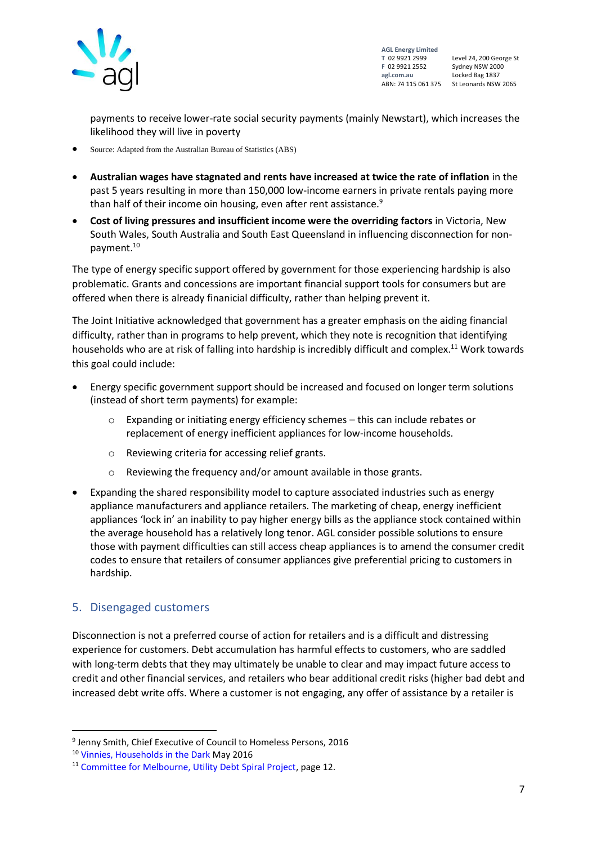

Level 24, 200 George St Locked Bag 1837 ABN: 74 115 061 375 St Leonards NSW 2065

payments to receive lower-rate social security payments (mainly Newstart), which increases the likelihood they will live in poverty

- Source: Adapted from the Australian Bureau of Statistics (ABS)
- **Australian wages have stagnated and rents have increased at twice the rate of inflation** in the past 5 years resulting in more than 150,000 low-income earners in private rentals paying more than half of their income oin housing, even after rent assistance.<sup>9</sup>
- **Cost of living pressures and insufficient income were the overriding factors** in Victoria, New South Wales, South Australia and South East Queensland in influencing disconnection for nonpayment.<sup>10</sup>

The type of energy specific support offered by government for those experiencing hardship is also problematic. Grants and concessions are important financial support tools for consumers but are offered when there is already finanicial difficulty, rather than helping prevent it.

The Joint Initiative acknowledged that government has a greater emphasis on the aiding financial difficulty, rather than in programs to help prevent, which they note is recognition that identifying households who are at risk of falling into hardship is incredibly difficult and complex.<sup>11</sup> Work towards this goal could include:

- Energy specific government support should be increased and focused on longer term solutions (instead of short term payments) for example:
	- o Expanding or initiating energy efficiency schemes this can include rebates or replacement of energy inefficient appliances for low-income households.
	- o Reviewing criteria for accessing relief grants.
	- o Reviewing the frequency and/or amount available in those grants.
- Expanding the shared responsibility model to capture associated industries such as energy appliance manufacturers and appliance retailers. The marketing of cheap, energy inefficient appliances 'lock in' an inability to pay higher energy bills as the appliance stock contained within the average household has a relatively long tenor. AGL consider possible solutions to ensure those with payment difficulties can still access cheap appliances is to amend the consumer credit codes to ensure that retailers of consumer appliances give preferential pricing to customers in hardship.

### 5. Disengaged customers

**.** 

Disconnection is not a preferred course of action for retailers and is a difficult and distressing experience for customers. Debt accumulation has harmful effects to customers, who are saddled with long-term debts that they may ultimately be unable to clear and may impact future access to credit and other financial services, and retailers who bear additional credit risks (higher bad debt and increased debt write offs. Where a customer is not engaging, any offer of assistance by a retailer is

<sup>9</sup> Jenny Smith, Chief Executive of Council to Homeless Persons, 2016

<sup>10</sup> [Vinnies, Households in the Dark](https://www.vinnies.org.au/content/Document/VIC/2016-June-Households-in-the-dark2.pdf) May 2016

<sup>11</sup> [Committee for Melbourne, Utility Debt Spiral Project,](https://citiesprogramme.org/project/utility-debt-spiral-project/) page 12.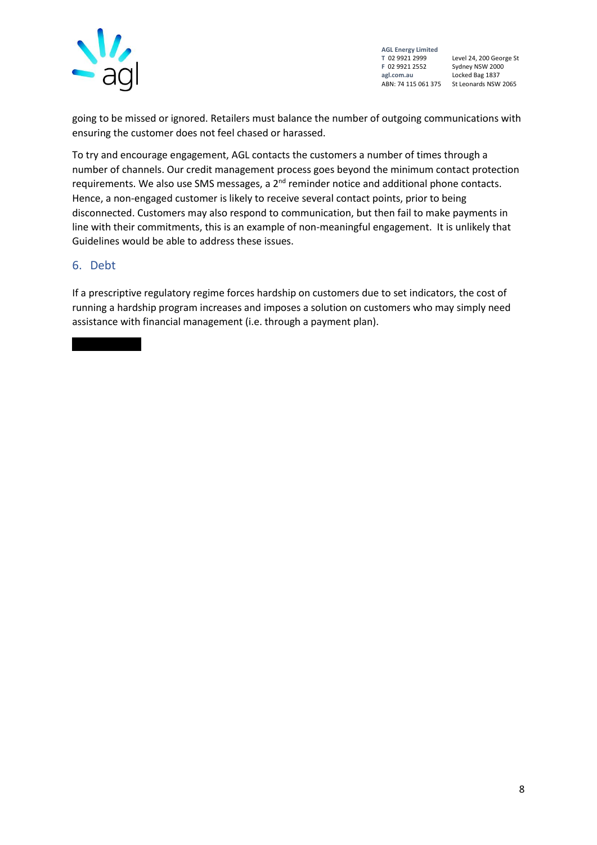

Level 24, 200 George St Locked Bag 1837 ABN: 74 115 061 375 St Leonards NSW 2065

going to be missed or ignored. Retailers must balance the number of outgoing communications with ensuring the customer does not feel chased or harassed.

To try and encourage engagement, AGL contacts the customers a number of times through a number of channels. Our credit management process goes beyond the minimum contact protection requirements. We also use SMS messages, a 2<sup>nd</sup> reminder notice and additional phone contacts. Hence, a non-engaged customer is likely to receive several contact points, prior to being disconnected. Customers may also respond to communication, but then fail to make payments in line with their commitments, this is an example of non-meaningful engagement. It is unlikely that Guidelines would be able to address these issues.

#### 6. Debt

If a prescriptive regulatory regime forces hardship on customers due to set indicators, the cost of running a hardship program increases and imposes a solution on customers who may simply need assistance with financial management (i.e. through a payment plan).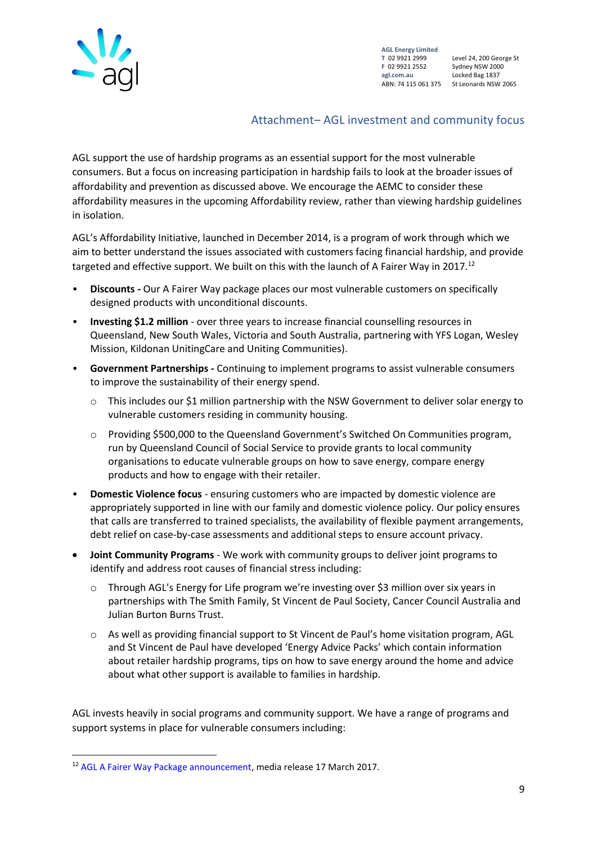

Level 24, 200 George St ABN: 74 115 061 375 St Leonards NSW 2065

### Attachment– AGL investment and community focus

AGL support the use of hardship programs as an essential support for the most vulnerable consumers. But a focus on increasing participation in hardship fails to look at the broader issues of affordability and prevention as discussed above. We encourage the AEMC to consider these affordability measures in the upcoming Affordability review, rather than viewing hardship guidelines in isolation.

AGL's Affordability Initiative, launched in December 2014, is a program of work through which we aim to better understand the issues associated with customers facing financial hardship, and provide targeted and effective support. We built on this with the launch of A Fairer Way in 2017.<sup>12</sup>

- **Discounts -** Our A Fairer Way package places our most vulnerable customers on specifically designed products with unconditional discounts.
- **Investing \$1.2 million** over three years to increase financial counselling resources in Queensland, New South Wales, Victoria and South Australia, partnering with YFS Logan, Wesley Mission, Kildonan UnitingCare and Uniting Communities).
- **Government Partnerships -** Continuing to implement programs to assist vulnerable consumers to improve the sustainability of their energy spend.
	- $\circ$  This includes our \$1 million partnership with the NSW Government to deliver solar energy to vulnerable customers residing in community housing.
	- o Providing \$500,000 to the Queensland Government's Switched On Communities program, run by Queensland Council of Social Service to provide grants to local community organisations to educate vulnerable groups on how to save energy, compare energy products and how to engage with their retailer.
- **Domestic Violence focus** ensuring customers who are impacted by domestic violence are appropriately supported in line with our family and domestic violence policy. Our policy ensures that calls are transferred to trained specialists, the availability of flexible payment arrangements, debt relief on case-by-case assessments and additional steps to ensure account privacy.
- **Joint Community Programs** We work with community groups to deliver joint programs to identify and address root causes of financial stress including:
	- Through AGL's Energy for Life program we're investing over \$3 million over six years in partnerships with The Smith Family, St Vincent de Paul Society, Cancer Council Australia and Julian Burton Burns Trust.
	- o As well as providing financial support to St Vincent de Paul's home visitation program, AGL and St Vincent de Paul have developed 'Energy Advice Packs' which contain information about retailer hardship programs, tips on how to save energy around the home and advice about what other support is available to families in hardship.

AGL invests heavily in social programs and community support. We have a range of programs and support systems in place for vulnerable consumers including:

<sup>&</sup>lt;sup>12</sup> [AGL A Fairer Way Package announcement,](https://www.agl.com.au/about-agl/media-centre/asx-and-media-releases/2017/march/agl-announces-a-fairer-way-package-for-vulnerable-customers) media release 17 March 2017.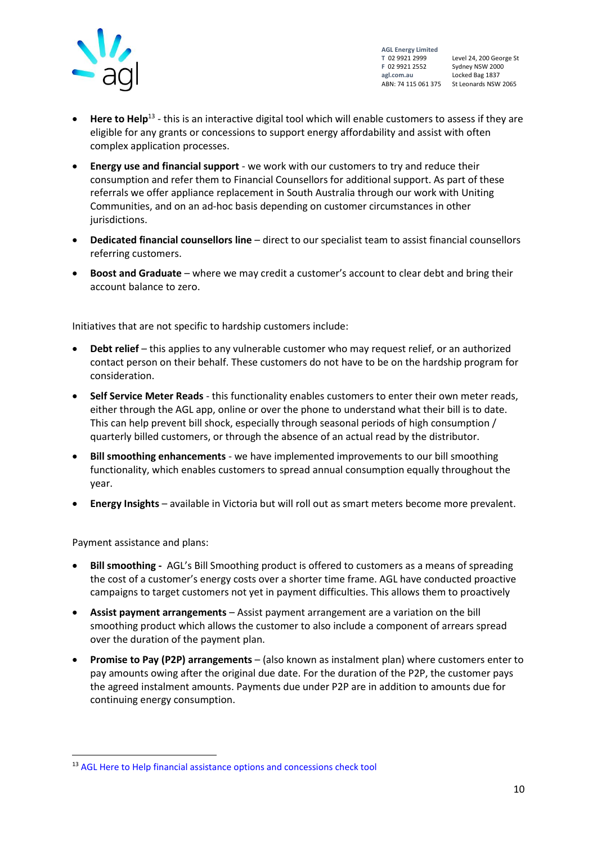

Level 24, 200 George St ABN: 74 115 061 375 St Leonards NSW 2065

- Here to Help<sup>13</sup> this is an interactive digital tool which will enable customers to assess if they are eligible for any grants or concessions to support energy affordability and assist with often complex application processes.
- **Energy use and financial support** we work with our customers to try and reduce their consumption and refer them to Financial Counsellors for additional support. As part of these referrals we offer appliance replacement in South Australia through our work with Uniting Communities, and on an ad-hoc basis depending on customer circumstances in other jurisdictions.
- **Dedicated financial counsellors line** direct to our specialist team to assist financial counsellors referring customers.
- **Boost and Graduate** where we may credit a customer's account to clear debt and bring their account balance to zero.

Initiatives that are not specific to hardship customers include:

- **Debt relief** this applies to any vulnerable customer who may request relief, or an authorized contact person on their behalf. These customers do not have to be on the hardship program for consideration.
- **Self Service Meter Reads** this functionality enables customers to enter their own meter reads, either through the AGL app, online or over the phone to understand what their bill is to date. This can help prevent bill shock, especially through seasonal periods of high consumption / quarterly billed customers, or through the absence of an actual read by the distributor.
- **Bill smoothing enhancements** we have implemented improvements to our bill smoothing functionality, which enables customers to spread annual consumption equally throughout the year.
- **Energy Insights** available in Victoria but will roll out as smart meters become more prevalent.

Payment assistance and plans:

- **Bill smoothing -** AGL's Bill Smoothing product is offered to customers as a means of spreading the cost of a customer's energy costs over a shorter time frame. AGL have conducted proactive campaigns to target customers not yet in payment difficulties. This allows them to proactively
- **Assist payment arrangements** Assist payment arrangement are a variation on the bill smoothing product which allows the customer to also include a component of arrears spread over the duration of the payment plan.
- **Promise to Pay (P2P) arrangements** (also known as instalment plan) where customers enter to pay amounts owing after the original due date. For the duration of the P2P, the customer pays the agreed instalment amounts. Payments due under P2P are in addition to amounts due for continuing energy consumption.

<sup>&</sup>lt;sup>13</sup> [AGL Here to Help financial assistance options and concessions check tool](https://www.agl.com.au/heretohelp)